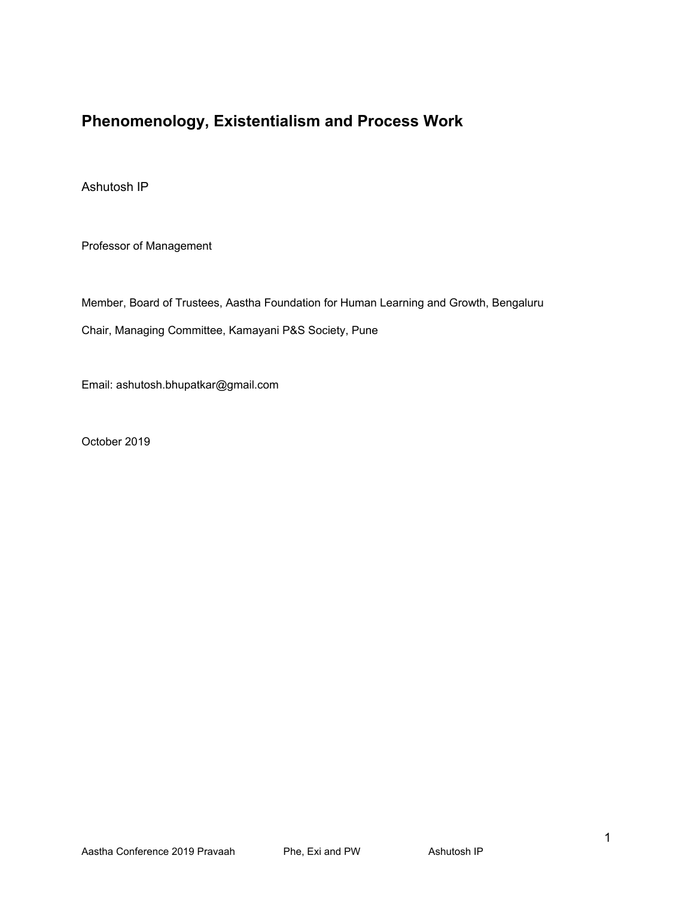# **Phenomenology, Existentialism and Process Work**

Ashutosh IP

Professor of Management

Member, Board of Trustees, Aastha Foundation for Human Learning and Growth, Bengaluru

Chair, Managing Committee, Kamayani P&S Society, Pune

Email: ashutosh.bhupatkar@gmail.com

October 2019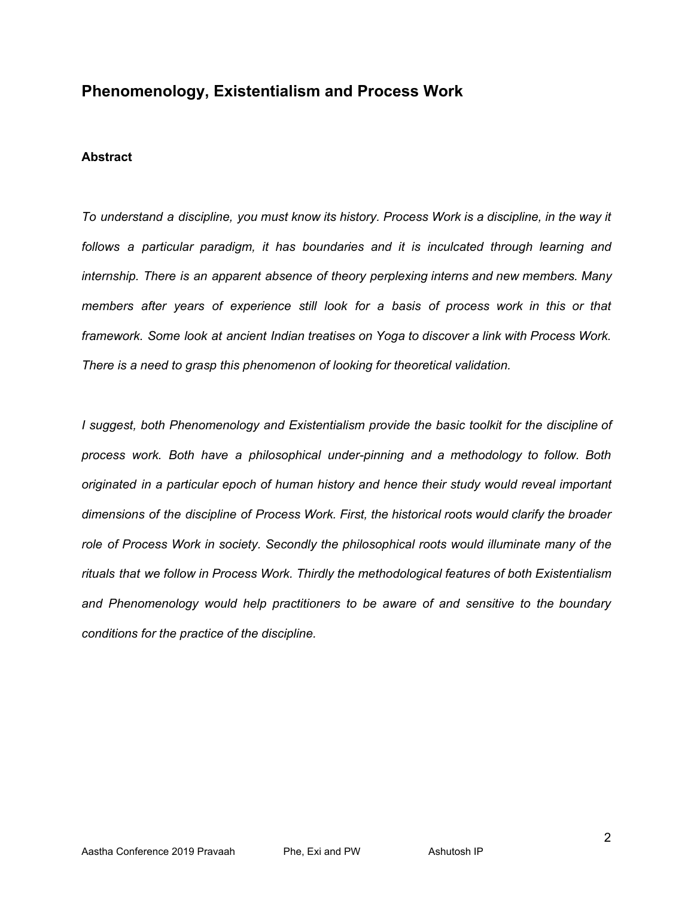# **Phenomenology, Existentialism and Process Work**

#### **Abstract**

*To understand a discipline, you must know its history. Process Work is a discipline, in the way it follows a particular paradigm, it has boundaries and it is inculcated through learning and internship. There is an apparent absence of theory perplexing interns and new members. Many members after years of experience still look for a basis of process work in this or that framework. Some look at ancient Indian treatises on Yoga to discover a link with Process Work. There is a need to grasp this phenomenon of looking for theoretical validation.*

*I suggest, both Phenomenology and Existentialism provide the basic toolkit for the discipline of process work. Both have a philosophical under-pinning and a methodology to follow. Both originated in a particular epoch of human history and hence their study would reveal important dimensions of the discipline of Process Work. First, the historical roots would clarify the broader role of Process Work in society. Secondly the philosophical roots would illuminate many of the rituals that we follow in Process Work. Thirdly the methodological features of both Existentialism and Phenomenology would help practitioners to be aware of and sensitive to the boundary conditions for the practice of the discipline.*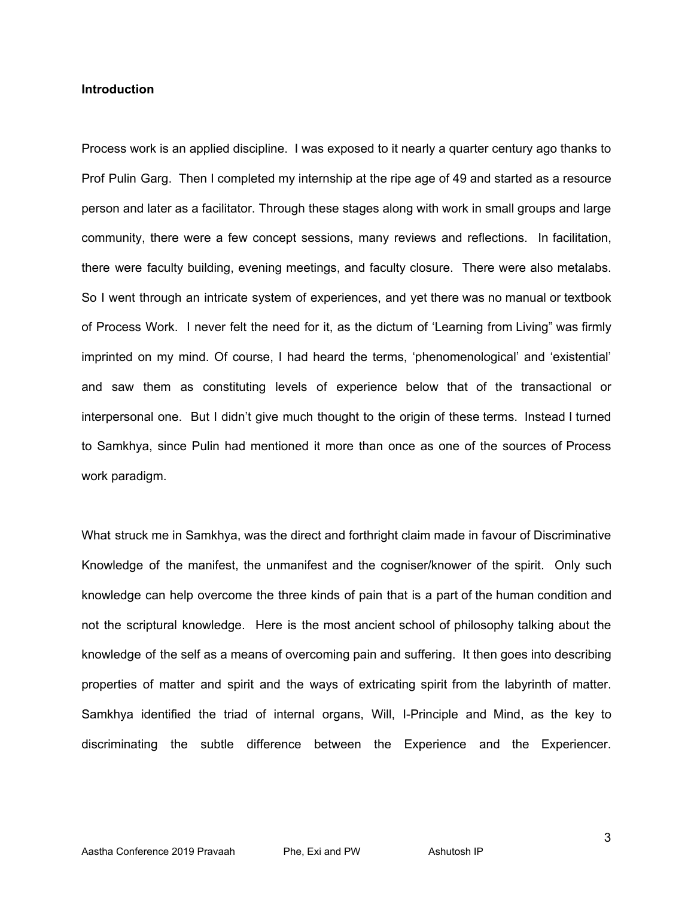### **Introduction**

Process work is an applied discipline. I was exposed to it nearly a quarter century ago thanks to Prof Pulin Garg. Then I completed my internship at the ripe age of 49 and started as a resource person and later as a facilitator. Through these stages along with work in small groups and large community, there were a few concept sessions, many reviews and reflections. In facilitation, there were faculty building, evening meetings, and faculty closure. There were also metalabs. So I went through an intricate system of experiences, and yet there was no manual or textbook of Process Work. I never felt the need for it, as the dictum of 'Learning from Living" was firmly imprinted on my mind. Of course, I had heard the terms, 'phenomenological' and 'existential' and saw them as constituting levels of experience below that of the transactional or interpersonal one. But I didn't give much thought to the origin of these terms. Instead I turned to Samkhya, since Pulin had mentioned it more than once as one of the sources of Process work paradigm.

What struck me in Samkhya, was the direct and forthright claim made in favour of Discriminative Knowledge of the manifest, the unmanifest and the cogniser/knower of the spirit. Only such knowledge can help overcome the three kinds of pain that is a part of the human condition and not the scriptural knowledge. Here is the most ancient school of philosophy talking about the knowledge of the self as a means of overcoming pain and suffering. It then goes into describing properties of matter and spirit and the ways of extricating spirit from the labyrinth of matter. Samkhya identified the triad of internal organs, Will, I-Principle and Mind, as the key to discriminating the subtle difference between the Experience and the Experiencer.

3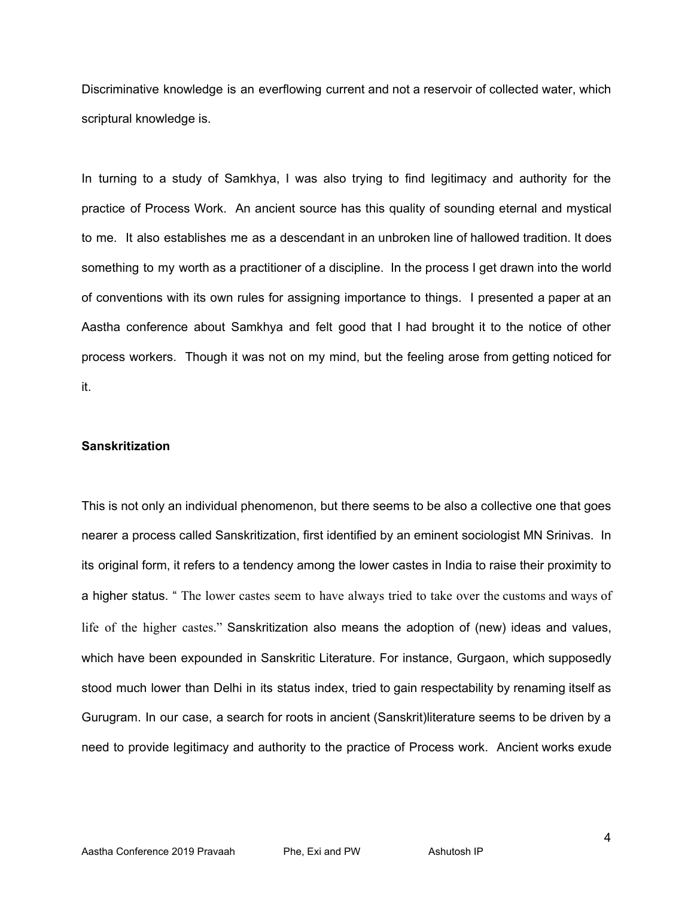Discriminative knowledge is an everflowing current and not a reservoir of collected water, which scriptural knowledge is.

In turning to a study of Samkhya, I was also trying to find legitimacy and authority for the practice of Process Work. An ancient source has this quality of sounding eternal and mystical to me. It also establishes me as a descendant in an unbroken line of hallowed tradition. It does something to my worth as a practitioner of a discipline. In the process I get drawn into the world of conventions with its own rules for assigning importance to things. I presented a paper at an Aastha conference about Samkhya and felt good that I had brought it to the notice of other process workers. Though it was not on my mind, but the feeling arose from getting noticed for it.

#### **Sanskritization**

This is not only an individual phenomenon, but there seems to be also a collective one that goes nearer a process called Sanskritization, first identified by an eminent sociologist MN Srinivas. In its original form, it refers to a tendency among the lower castes in India to raise their proximity to a higher status. " The lower castes seem to have always tried to take over the customs and ways of life of the higher castes." Sanskritization also means the adoption of (new) ideas and values, which have been expounded in Sanskritic Literature. For instance, Gurgaon, which supposedly stood much lower than Delhi in its status index, tried to gain respectability by renaming itself as Gurugram. In our case, a search for roots in ancient (Sanskrit)literature seems to be driven by a need to provide legitimacy and authority to the practice of Process work. Ancient works exude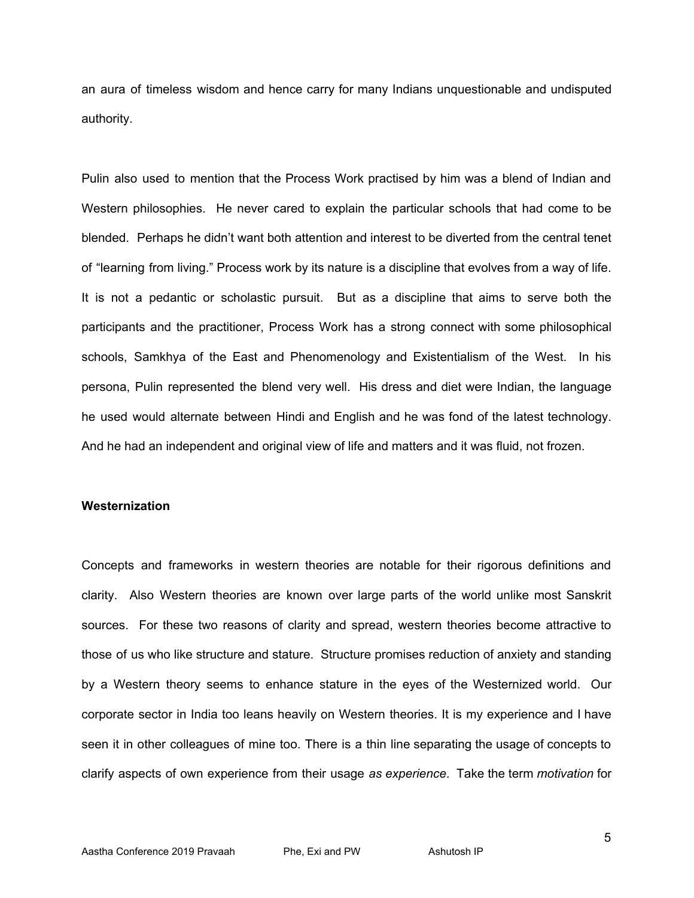an aura of timeless wisdom and hence carry for many Indians unquestionable and undisputed authority.

Pulin also used to mention that the Process Work practised by him was a blend of Indian and Western philosophies. He never cared to explain the particular schools that had come to be blended. Perhaps he didn't want both attention and interest to be diverted from the central tenet of "learning from living." Process work by its nature is a discipline that evolves from a way of life. It is not a pedantic or scholastic pursuit. But as a discipline that aims to serve both the participants and the practitioner, Process Work has a strong connect with some philosophical schools, Samkhya of the East and Phenomenology and Existentialism of the West. In his persona, Pulin represented the blend very well. His dress and diet were Indian, the language he used would alternate between Hindi and English and he was fond of the latest technology. And he had an independent and original view of life and matters and it was fluid, not frozen.

#### **Westernization**

Concepts and frameworks in western theories are notable for their rigorous definitions and clarity. Also Western theories are known over large parts of the world unlike most Sanskrit sources. For these two reasons of clarity and spread, western theories become attractive to those of us who like structure and stature. Structure promises reduction of anxiety and standing by a Western theory seems to enhance stature in the eyes of the Westernized world. Our corporate sector in India too leans heavily on Western theories. It is my experience and I have seen it in other colleagues of mine too. There is a thin line separating the usage of concepts to clarify aspects of own experience from their usage *as experience*. Take the term *motivation* for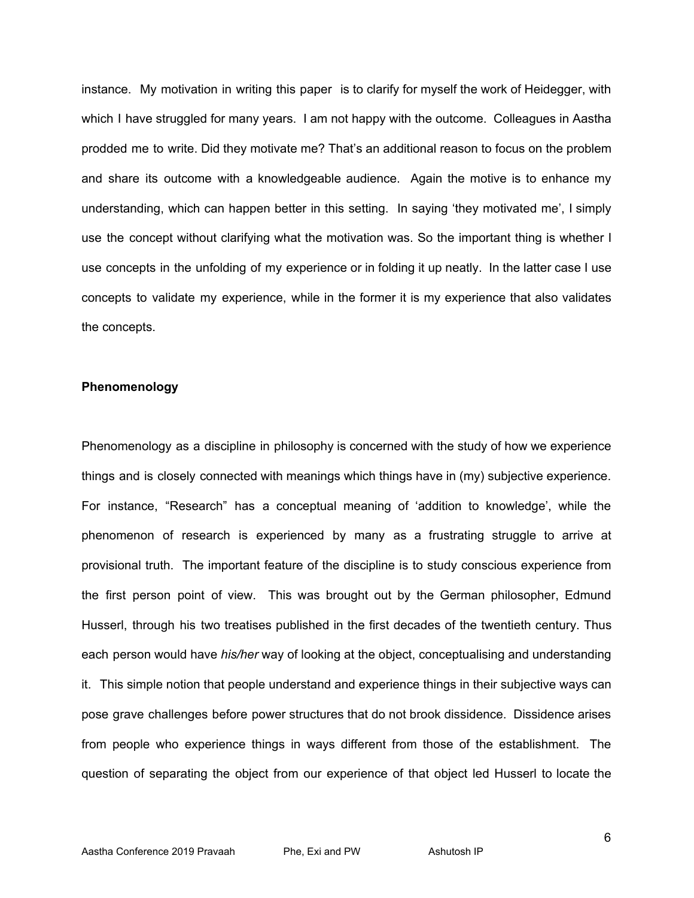instance. My motivation in writing this paper is to clarify for myself the work of Heidegger, with which I have struggled for many years. I am not happy with the outcome. Colleagues in Aastha prodded me to write. Did they motivate me? That's an additional reason to focus on the problem and share its outcome with a knowledgeable audience. Again the motive is to enhance my understanding, which can happen better in this setting. In saying 'they motivated me', I simply use the concept without clarifying what the motivation was. So the important thing is whether I use concepts in the unfolding of my experience or in folding it up neatly. In the latter case I use concepts to validate my experience, while in the former it is my experience that also validates the concepts.

# **Phenomenology**

Phenomenology as a discipline in philosophy is concerned with the study of how we experience things and is closely connected with meanings which things have in (my) subjective experience. For instance, "Research" has a conceptual meaning of 'addition to knowledge', while the phenomenon of research is experienced by many as a frustrating struggle to arrive at provisional truth. The important feature of the discipline is to study conscious experience from the first person point of view. This was brought out by the German philosopher, Edmund Husserl, through his two treatises published in the first decades of the twentieth century. Thus each person would have *his/her* way of looking at the object, conceptualising and understanding it. This simple notion that people understand and experience things in their subjective ways can pose grave challenges before power structures that do not brook dissidence. Dissidence arises from people who experience things in ways different from those of the establishment. The question of separating the object from our experience of that object led Husserl to locate the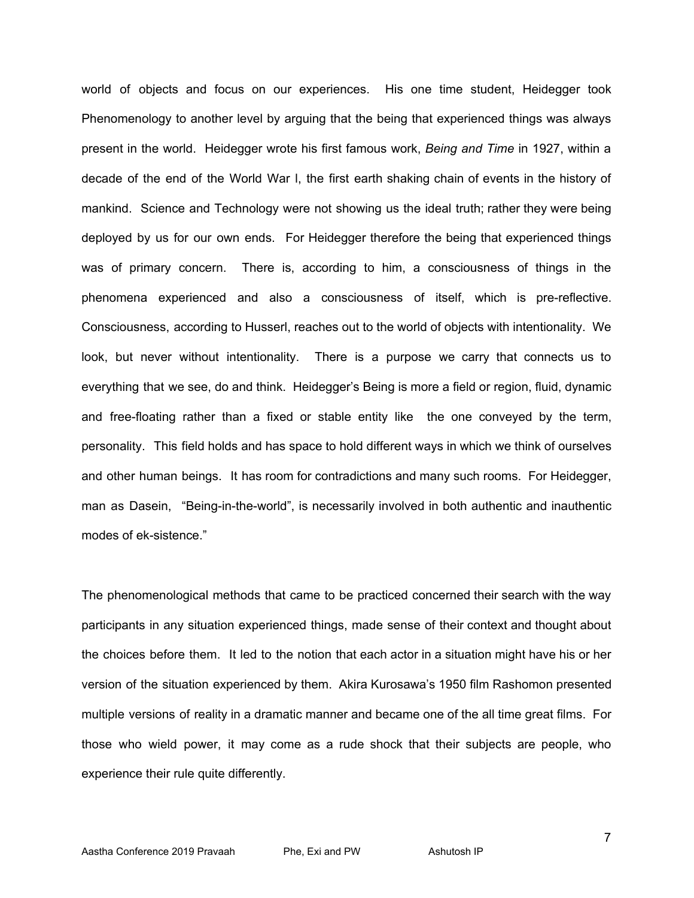world of objects and focus on our experiences. His one time student, Heidegger took Phenomenology to another level by arguing that the being that experienced things was always present in the world. Heidegger wrote his first famous work, *Being and Time* in 1927, within a decade of the end of the World War l, the first earth shaking chain of events in the history of mankind. Science and Technology were not showing us the ideal truth; rather they were being deployed by us for our own ends. For Heidegger therefore the being that experienced things was of primary concern. There is, according to him, a consciousness of things in the phenomena experienced and also a consciousness of itself, which is pre-reflective. Consciousness, according to Husserl, reaches out to the world of objects with intentionality. We look, but never without intentionality. There is a purpose we carry that connects us to everything that we see, do and think. Heidegger's Being is more a field or region, fluid, dynamic and free-floating rather than a fixed or stable entity like the one conveyed by the term, personality. This field holds and has space to hold different ways in which we think of ourselves and other human beings. It has room for contradictions and many such rooms. For Heidegger, man as Dasein, "Being-in-the-world", is necessarily involved in both authentic and inauthentic modes of ek-sistence."

The phenomenological methods that came to be practiced concerned their search with the way participants in any situation experienced things, made sense of their context and thought about the choices before them. It led to the notion that each actor in a situation might have his or her version of the situation experienced by them. Akira Kurosawa's 1950 film Rashomon presented multiple versions of reality in a dramatic manner and became one of the all time great films. For those who wield power, it may come as a rude shock that their subjects are people, who experience their rule quite differently.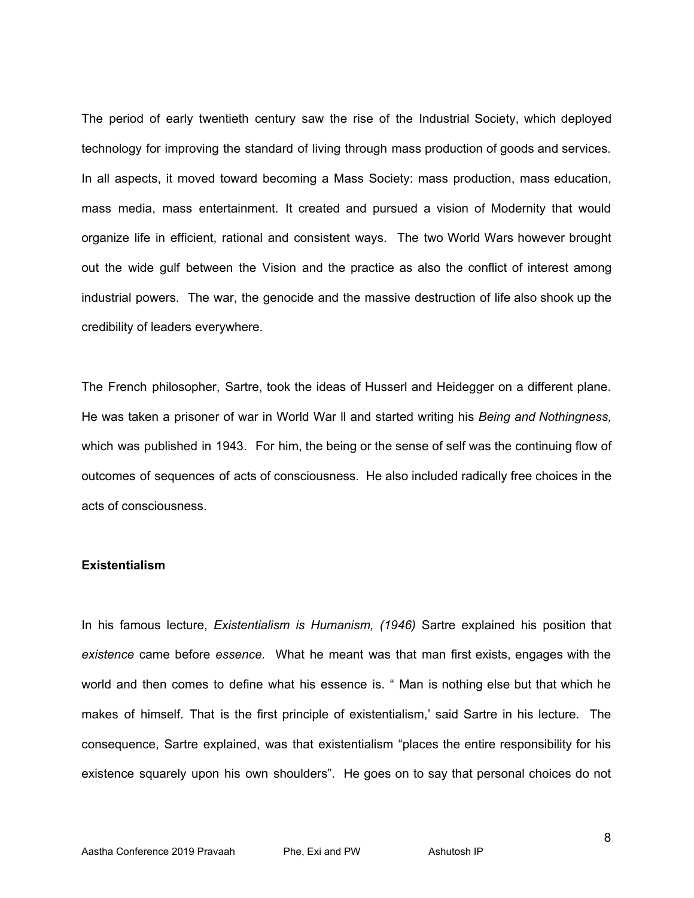The period of early twentieth century saw the rise of the Industrial Society, which deployed technology for improving the standard of living through mass production of goods and services. In all aspects, it moved toward becoming a Mass Society: mass production, mass education, mass media, mass entertainment. It created and pursued a vision of Modernity that would organize life in efficient, rational and consistent ways. The two World Wars however brought out the wide gulf between the Vision and the practice as also the conflict of interest among industrial powers. The war, the genocide and the massive destruction of life also shook up the credibility of leaders everywhere.

The French philosopher, Sartre, took the ideas of Husserl and Heidegger on a different plane. He was taken a prisoner of war in World War ll and started writing his *Being and Nothingness,* which was published in 1943. For him, the being or the sense of self was the continuing flow of outcomes of sequences of acts of consciousness. He also included radically free choices in the acts of consciousness.

#### **Existentialism**

In his famous lecture, *Existentialism is Humanism, (1946)* Sartre explained his position that *existence* came before *essence.* What he meant was that man first exists, engages with the world and then comes to define what his essence is. " Man is nothing else but that which he makes of himself. That is the first principle of existentialism,' said Sartre in his lecture. The consequence, Sartre explained, was that existentialism "places the entire responsibility for his existence squarely upon his own shoulders". He goes on to say that personal choices do not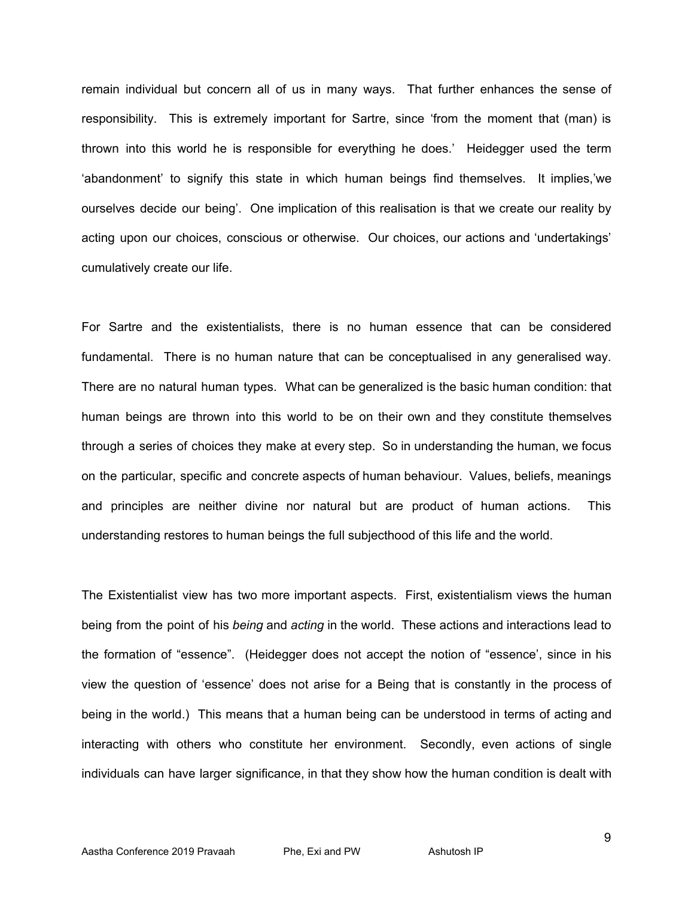remain individual but concern all of us in many ways. That further enhances the sense of responsibility. This is extremely important for Sartre, since 'from the moment that (man) is thrown into this world he is responsible for everything he does.' Heidegger used the term 'abandonment' to signify this state in which human beings find themselves. It implies,'we ourselves decide our being'. One implication of this realisation is that we create our reality by acting upon our choices, conscious or otherwise. Our choices, our actions and 'undertakings' cumulatively create our life.

For Sartre and the existentialists, there is no human essence that can be considered fundamental. There is no human nature that can be conceptualised in any generalised way. There are no natural human types. What can be generalized is the basic human condition: that human beings are thrown into this world to be on their own and they constitute themselves through a series of choices they make at every step. So in understanding the human, we focus on the particular, specific and concrete aspects of human behaviour. Values, beliefs, meanings and principles are neither divine nor natural but are product of human actions. This understanding restores to human beings the full subjecthood of this life and the world.

The Existentialist view has two more important aspects. First, existentialism views the human being from the point of his *being* and *acting* in the world. These actions and interactions lead to the formation of "essence". (Heidegger does not accept the notion of "essence', since in his view the question of 'essence' does not arise for a Being that is constantly in the process of being in the world.) This means that a human being can be understood in terms of acting and interacting with others who constitute her environment. Secondly, even actions of single individuals can have larger significance, in that they show how the human condition is dealt with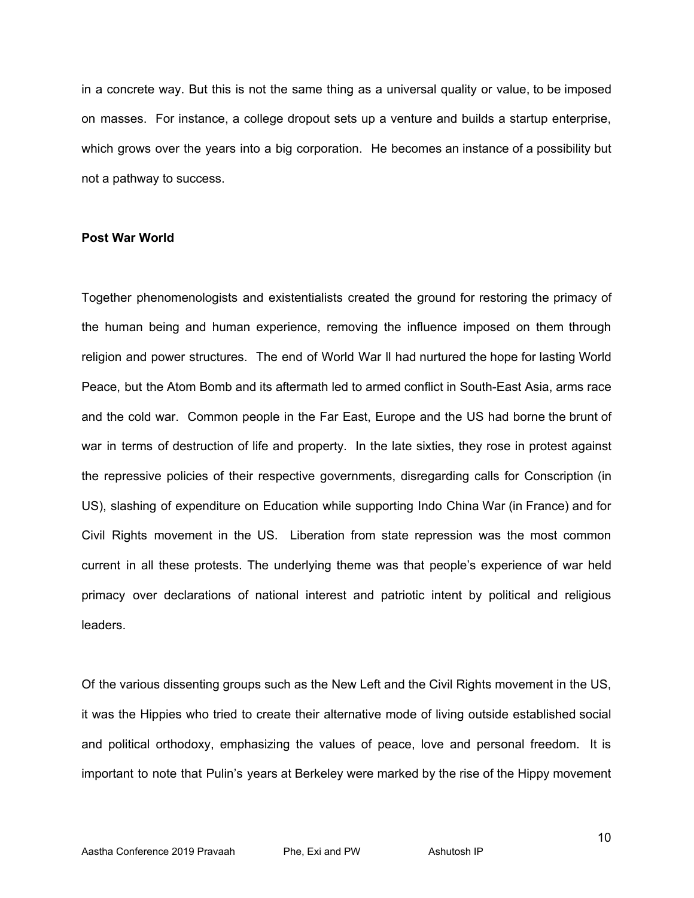in a concrete way. But this is not the same thing as a universal quality or value, to be imposed on masses. For instance, a college dropout sets up a venture and builds a startup enterprise, which grows over the years into a big corporation. He becomes an instance of a possibility but not a pathway to success.

#### **Post War World**

Together phenomenologists and existentialists created the ground for restoring the primacy of the human being and human experience, removing the influence imposed on them through religion and power structures. The end of World War ll had nurtured the hope for lasting World Peace, but the Atom Bomb and its aftermath led to armed conflict in South-East Asia, arms race and the cold war. Common people in the Far East, Europe and the US had borne the brunt of war in terms of destruction of life and property. In the late sixties, they rose in protest against the repressive policies of their respective governments, disregarding calls for Conscription (in US), slashing of expenditure on Education while supporting Indo China War (in France) and for Civil Rights movement in the US. Liberation from state repression was the most common current in all these protests. The underlying theme was that people's experience of war held primacy over declarations of national interest and patriotic intent by political and religious leaders.

Of the various dissenting groups such as the New Left and the Civil Rights movement in the US, it was the Hippies who tried to create their alternative mode of living outside established social and political orthodoxy, emphasizing the values of peace, love and personal freedom. It is important to note that Pulin's years at Berkeley were marked by the rise of the Hippy movement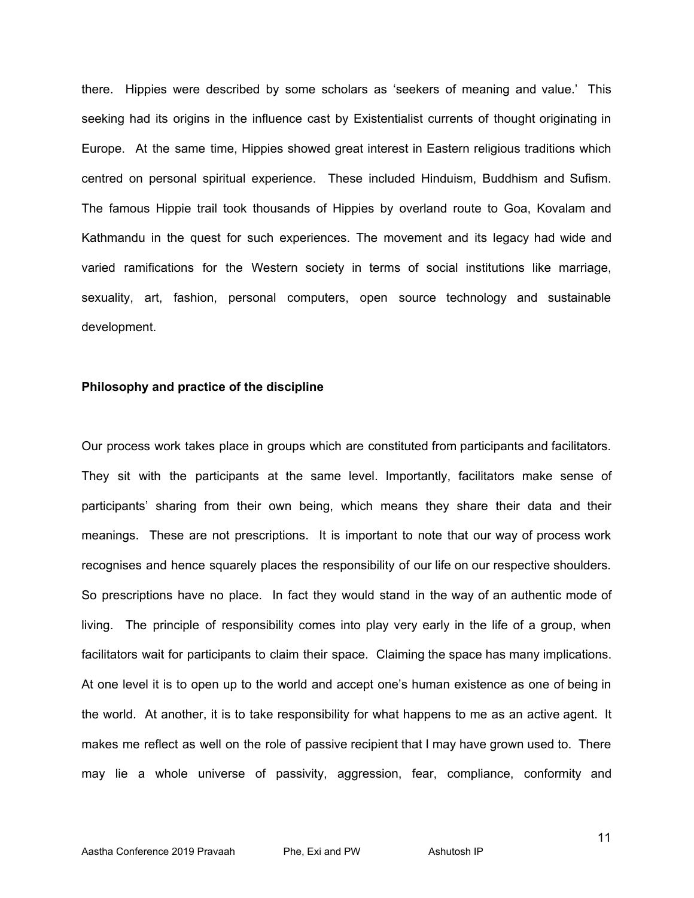there. Hippies were described by some scholars as 'seekers of meaning and value.' This seeking had its origins in the influence cast by Existentialist currents of thought originating in Europe. At the same time, Hippies showed great interest in Eastern religious traditions which centred on personal spiritual experience. These included Hinduism, Buddhism and Sufism. The famous Hippie trail took thousands of Hippies by overland route to Goa, Kovalam and Kathmandu in the quest for such experiences. The movement and its legacy had wide and varied ramifications for the Western society in terms of social institutions like marriage, sexuality, art, fashion, personal computers, open source technology and sustainable development.

# **Philosophy and practice of the discipline**

Our process work takes place in groups which are constituted from participants and facilitators. They sit with the participants at the same level. Importantly, facilitators make sense of participants' sharing from their own being, which means they share their data and their meanings. These are not prescriptions. It is important to note that our way of process work recognises and hence squarely places the responsibility of our life on our respective shoulders. So prescriptions have no place. In fact they would stand in the way of an authentic mode of living. The principle of responsibility comes into play very early in the life of a group, when facilitators wait for participants to claim their space. Claiming the space has many implications. At one level it is to open up to the world and accept one's human existence as one of being in the world. At another, it is to take responsibility for what happens to me as an active agent. It makes me reflect as well on the role of passive recipient that I may have grown used to. There may lie a whole universe of passivity, aggression, fear, compliance, conformity and

11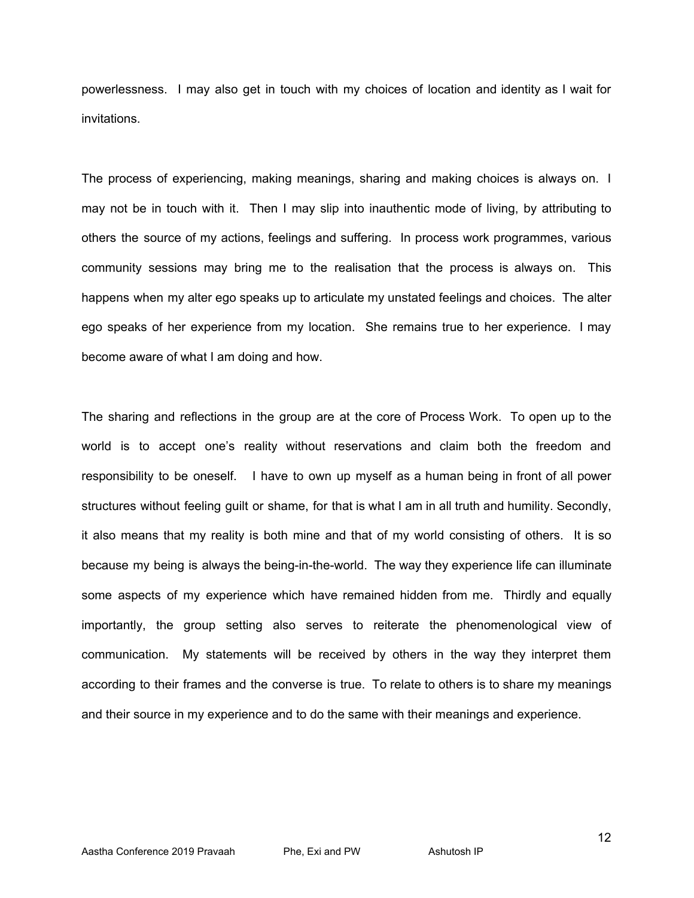powerlessness. I may also get in touch with my choices of location and identity as I wait for invitations.

The process of experiencing, making meanings, sharing and making choices is always on. I may not be in touch with it. Then I may slip into inauthentic mode of living, by attributing to others the source of my actions, feelings and suffering. In process work programmes, various community sessions may bring me to the realisation that the process is always on. This happens when my alter ego speaks up to articulate my unstated feelings and choices. The alter ego speaks of her experience from my location. She remains true to her experience. I may become aware of what I am doing and how.

The sharing and reflections in the group are at the core of Process Work. To open up to the world is to accept one's reality without reservations and claim both the freedom and responsibility to be oneself. I have to own up myself as a human being in front of all power structures without feeling guilt or shame, for that is what I am in all truth and humility. Secondly, it also means that my reality is both mine and that of my world consisting of others. It is so because my being is always the being-in-the-world. The way they experience life can illuminate some aspects of my experience which have remained hidden from me. Thirdly and equally importantly, the group setting also serves to reiterate the phenomenological view of communication. My statements will be received by others in the way they interpret them according to their frames and the converse is true. To relate to others is to share my meanings and their source in my experience and to do the same with their meanings and experience.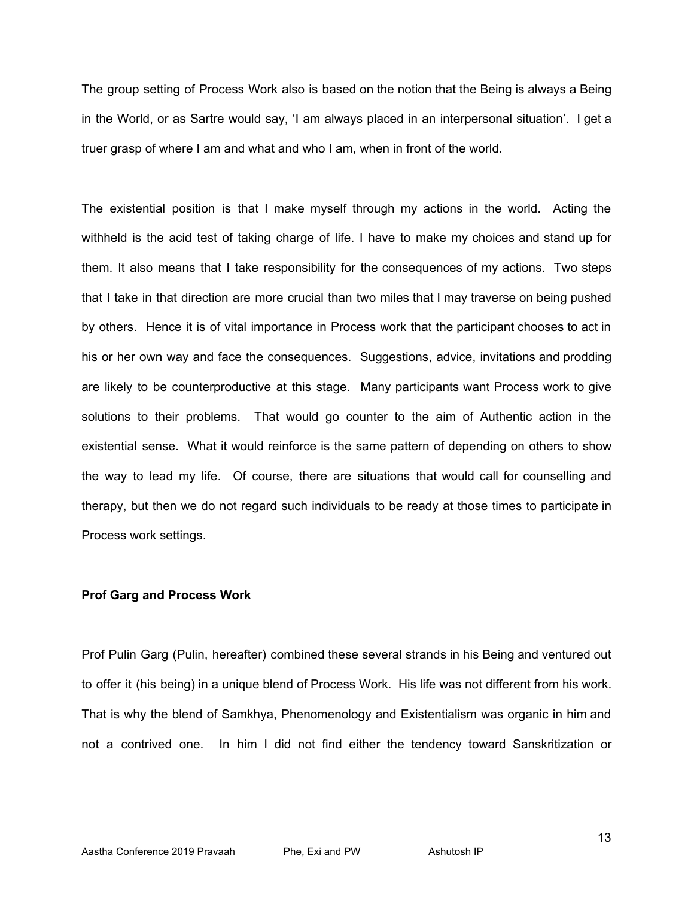The group setting of Process Work also is based on the notion that the Being is always a Being in the World, or as Sartre would say, 'I am always placed in an interpersonal situation'. I get a truer grasp of where I am and what and who I am, when in front of the world.

The existential position is that I make myself through my actions in the world. Acting the withheld is the acid test of taking charge of life. I have to make my choices and stand up for them. It also means that I take responsibility for the consequences of my actions. Two steps that I take in that direction are more crucial than two miles that I may traverse on being pushed by others. Hence it is of vital importance in Process work that the participant chooses to act in his or her own way and face the consequences. Suggestions, advice, invitations and prodding are likely to be counterproductive at this stage. Many participants want Process work to give solutions to their problems. That would go counter to the aim of Authentic action in the existential sense. What it would reinforce is the same pattern of depending on others to show the way to lead my life. Of course, there are situations that would call for counselling and therapy, but then we do not regard such individuals to be ready at those times to participate in Process work settings.

# **Prof Garg and Process Work**

Prof Pulin Garg (Pulin, hereafter) combined these several strands in his Being and ventured out to offer it (his being) in a unique blend of Process Work. His life was not different from his work. That is why the blend of Samkhya, Phenomenology and Existentialism was organic in him and not a contrived one. In him I did not find either the tendency toward Sanskritization or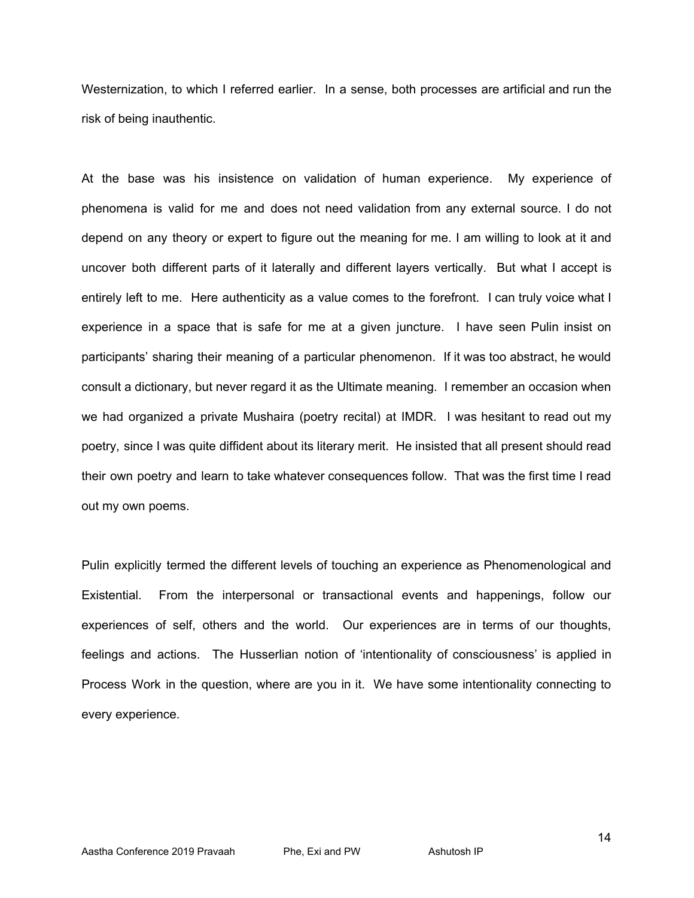Westernization, to which I referred earlier. In a sense, both processes are artificial and run the risk of being inauthentic.

At the base was his insistence on validation of human experience. My experience of phenomena is valid for me and does not need validation from any external source. I do not depend on any theory or expert to figure out the meaning for me. I am willing to look at it and uncover both different parts of it laterally and different layers vertically. But what I accept is entirely left to me. Here authenticity as a value comes to the forefront. I can truly voice what I experience in a space that is safe for me at a given juncture. I have seen Pulin insist on participants' sharing their meaning of a particular phenomenon. If it was too abstract, he would consult a dictionary, but never regard it as the Ultimate meaning. I remember an occasion when we had organized a private Mushaira (poetry recital) at IMDR. I was hesitant to read out my poetry, since I was quite diffident about its literary merit. He insisted that all present should read their own poetry and learn to take whatever consequences follow. That was the first time I read out my own poems.

Pulin explicitly termed the different levels of touching an experience as Phenomenological and Existential. From the interpersonal or transactional events and happenings, follow our experiences of self, others and the world. Our experiences are in terms of our thoughts, feelings and actions. The Husserlian notion of 'intentionality of consciousness' is applied in Process Work in the question, where are you in it. We have some intentionality connecting to every experience.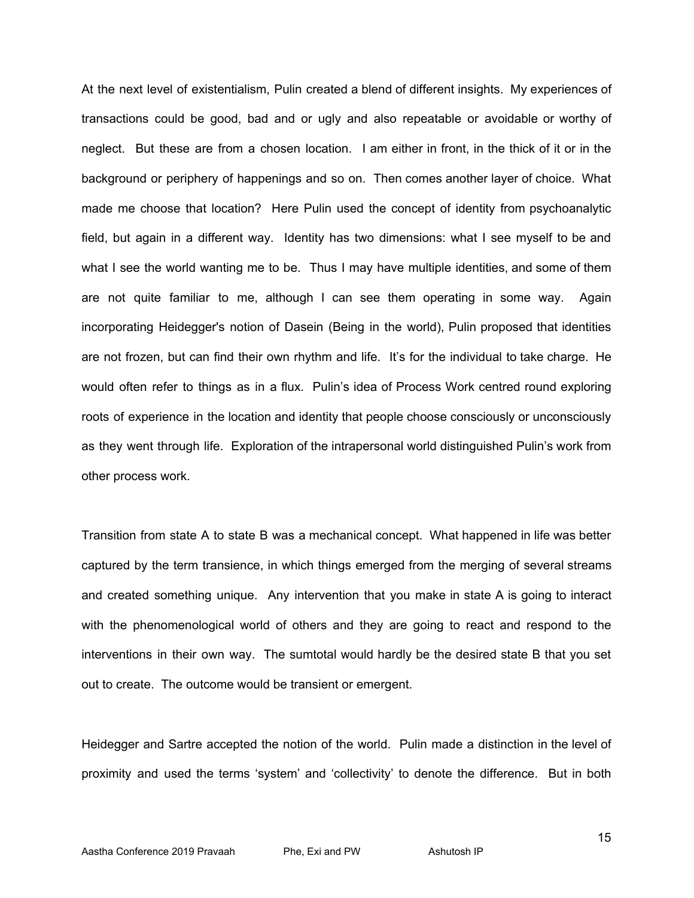At the next level of existentialism, Pulin created a blend of different insights. My experiences of transactions could be good, bad and or ugly and also repeatable or avoidable or worthy of neglect. But these are from a chosen location. I am either in front, in the thick of it or in the background or periphery of happenings and so on. Then comes another layer of choice. What made me choose that location? Here Pulin used the concept of identity from psychoanalytic field, but again in a different way. Identity has two dimensions: what I see myself to be and what I see the world wanting me to be. Thus I may have multiple identities, and some of them are not quite familiar to me, although I can see them operating in some way. Again incorporating Heidegger's notion of Dasein (Being in the world), Pulin proposed that identities are not frozen, but can find their own rhythm and life. It's for the individual to take charge. He would often refer to things as in a flux. Pulin's idea of Process Work centred round exploring roots of experience in the location and identity that people choose consciously or unconsciously as they went through life. Exploration of the intrapersonal world distinguished Pulin's work from other process work.

Transition from state A to state B was a mechanical concept. What happened in life was better captured by the term transience, in which things emerged from the merging of several streams and created something unique. Any intervention that you make in state A is going to interact with the phenomenological world of others and they are going to react and respond to the interventions in their own way. The sumtotal would hardly be the desired state B that you set out to create. The outcome would be transient or emergent.

Heidegger and Sartre accepted the notion of the world. Pulin made a distinction in the level of proximity and used the terms 'system' and 'collectivity' to denote the difference. But in both

15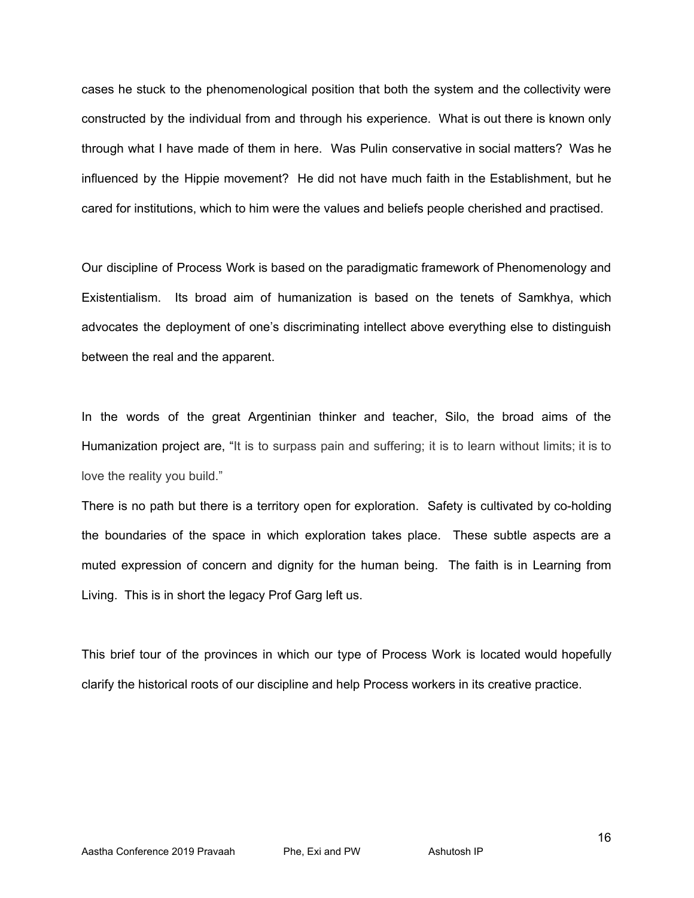cases he stuck to the phenomenological position that both the system and the collectivity were constructed by the individual from and through his experience. What is out there is known only through what I have made of them in here. Was Pulin conservative in social matters? Was he influenced by the Hippie movement? He did not have much faith in the Establishment, but he cared for institutions, which to him were the values and beliefs people cherished and practised.

Our discipline of Process Work is based on the paradigmatic framework of Phenomenology and Existentialism. Its broad aim of humanization is based on the tenets of Samkhya, which advocates the deployment of one's discriminating intellect above everything else to distinguish between the real and the apparent.

In the words of the great Argentinian thinker and teacher, Silo, the broad aims of the Humanization project are, "It is to surpass pain and suffering; it is to learn without limits; it is to love the reality you build."

There is no path but there is a territory open for exploration. Safety is cultivated by co-holding the boundaries of the space in which exploration takes place. These subtle aspects are a muted expression of concern and dignity for the human being. The faith is in Learning from Living. This is in short the legacy Prof Garg left us.

This brief tour of the provinces in which our type of Process Work is located would hopefully clarify the historical roots of our discipline and help Process workers in its creative practice.